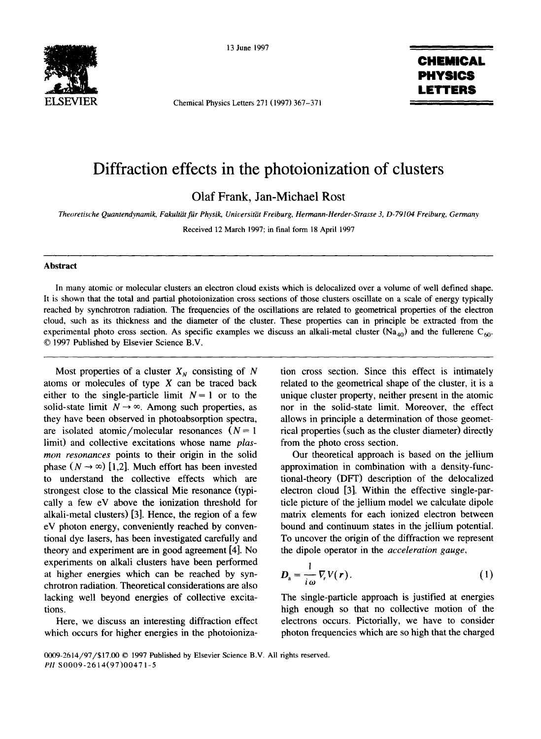

13 June 1997

Chemical Physics Letters 271 (1997) 367-371

## **CHEMICAL PHYSICS LETTERS**

## **Diffraction effects in the photoionization of clusters**

**Olaf Frank, Jan-Michael Rost** 

*Theoretische Quantendynamik, Fakult~it fiir Physik, Universitiit Freiburg, Hermann-Herder-Strasse 3, D-79104 Freiburg, Germany* 

Received 12 March 1997; in final form 18 April 1997

## **Abstract**

In many atomic or molecular clusters an electron cloud exists which is delocalized over a volume of well defined shape. It is shown that the total and partial photoionization cross sections of those clusters oscillate on a scale of energy typically reached by synchrotron radiation. The frequencies of the oscillations are related to geometrical properties of the electron cloud, such as its thickness and the diameter of the cluster. These properties can in principle be extracted from the experimental photo cross section. As specific examples we discuss an alkali-metal cluster (Na<sub>40</sub>) and the fullerene C<sub>60</sub>. © 1997 Published by Elsevier Science B.V.

Most properties of a cluster  $X_N$  consisting of N atoms or molecules of type X can be traced back either to the single-particle limit  $N = 1$  or to the solid-state limit  $N \rightarrow \infty$ . Among such properties, as they have been observed in photoabsorption spectra, are isolated atomic/molecular resonances  $(N=1)$ limit) and collective excitations whose name *plasmon resonances* points to their origin in the solid phase  $(N \rightarrow \infty)$  [1,2]. Much effort has been invested to understand the collective effects which are strongest close to the classical Mie resonance (typically a few eV above the ionization threshold for alkali-metal clusters) [3]. Hence, the region of a few eV photon energy, conveniently reached by conventional dye lasers, has been investigated carefully and theory and experiment are in good agreement [4]. No experiments on alkali clusters have been performed at higher energies which can be reached by synchrotron radiation. Theoretical considerations are also lacking well beyond energies of collective excitations.

Here, we discuss an interesting diffraction effect which occurs for higher energies in the photoionization cross section. Since this effect is intimately related to the geometrical shape of the cluster, it is a unique cluster property, neither present in the atomic nor in the solid-state limit. Moreover, the effect allows in principle a determination of those geometrical properties (such as the cluster diameter) directly from the photo cross section.

Our theoretical approach is based on the jellium approximation in combination with a density-functional-theory (DFT) description of the delocalized electron cloud [3]. Within the effective single-particle picture of the jellium model we calculate dipole matrix elements for each ionized electron between bound and continuum states in the jellium potential. To uncover the origin of the diffraction we represent the dipole operator in the *acceleration gauge,* 

$$
D_{\rm a} = \frac{1}{i\,\omega} \nabla_r V(r). \tag{1}
$$

The single-particle approach is justified at energies high enough so that no collective motion of the electrons occurs. Pictorially, we have to consider photon frequencies which are so high that the charged

<sup>0009-2614/97/\$17.00 © 1997</sup> Published by Elsevier Science B.V. All rights reserved. *PII* S0009-2614(97)0047 1-5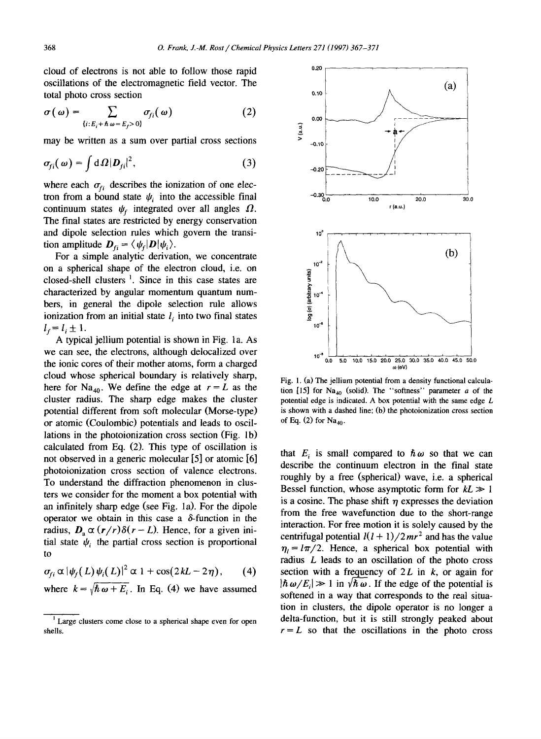cloud of electrons is not able to follow those rapid oscillations of the electromagnetic field vector. The total photo cross section

$$
\sigma(\omega) = \sum_{\{i: E_i + \hbar \omega = E_f > 0\}} \sigma_{fi}(\omega) \tag{2}
$$

may be written as a sum over partial cross sections

$$
\sigma_{fi}(\omega) = \int d\Omega |D_{fi}|^2, \qquad (3)
$$

where each  $\sigma_{fi}$  describes the ionization of one electron from a bound state  $\psi_i$  into the accessible final continuum states  $\psi_f$  integrated over all angles  $\Omega$ . The final states are restricted by energy conservation and dipole selection rules which govern the transition amplitude  $\mathbf{D}_{ri} = \langle \psi_i | \mathbf{D} | \psi_i \rangle$ .

For a simple analytic derivation, we concentrate on a spherical shape of the electron cloud, i.e. on closed-shell clusters  $\frac{1}{1}$ . Since in this case states are characterized by angular momentum quantum numbers, in general the dipole selection rule allows ionization from an initial state  $l_i$  into two final states  $l_i = l_i \pm 1.$ 

A typical jellium potential is shown in Fig. 1a. As we can see, the electrons, although delocalized over the ionic cores of their mother atoms, form a charged cloud whose spherical boundary is relatively sharp, here for Na<sub>40</sub>. We define the edge at  $r = L$  as the cluster radius. The sharp edge makes the cluster potential different from soft molecular (Morse-type) or atomic (Coulombic) potentials and leads to oscillations in the photoionization cross section (Fig. lb) calculated from Eq. (2). This type of oscillation is not observed in a generic molecular [5] or atomic [6] photoionization cross section of valence electrons. To understand the diffraction phenomenon in clusters we consider for the moment a box potential with an infinitely sharp edge (see Fig. la). For the dipole operator we obtain in this case a  $\delta$ -function in the radius,  $D_a \propto (r/r)\delta(r - L)$ . Hence, for a given initial state  $\psi_i$  the partial cross section is proportional to

 $\sigma_{fi} \propto |\psi_f(L)\psi_i(L)|^2 \propto 1 + \cos(2kL - 2\eta),$  (4)

where  $k = \sqrt{\hbar \omega + E_i}$ . In Eq. (4) we have assumed



Fig. l. (a) The jellium potential from a density functional calculation [15] for Na<sub>40</sub> (solid). The "softness" parameter a of the potential edge is indicated. A box potential with the same edge L is shown with a dashed line; (b) the photoionization cross section of Eq. (2) for  $Na<sub>40</sub>$ .

that  $E_i$  is small compared to  $\hbar \omega$  so that we can describe the continuum electron in the final state roughly by a free (spherical) wave, i.e. a spherical Bessel function, whose asymptotic form for  $kL \gg 1$ is a cosine. The phase shift  $\eta$  expresses the deviation from the free wavefunction due to the short-range interaction. For free motion it is solely caused by the centrifugal potential  $l(l + 1)/2mr^2$  and has the value  $\eta_i = l\pi/2$ . Hence, a spherical box potential with radius L leads to an oscillation of the photo cross section with a frequency of  $2L$  in k, or again for  $|\hbar \omega/E| \gg 1$  in  $\sqrt{\hbar \omega}$ . If the edge of the potential is softened in a way that corresponds to the real situation in clusters, the dipole operator is no longer a delta-function, but it is still strongly peaked about  $r = L$  so that the oscillations in the photo cross

<sup>&</sup>lt;sup>1</sup> Large clusters come close to a spherical shape even for open shells.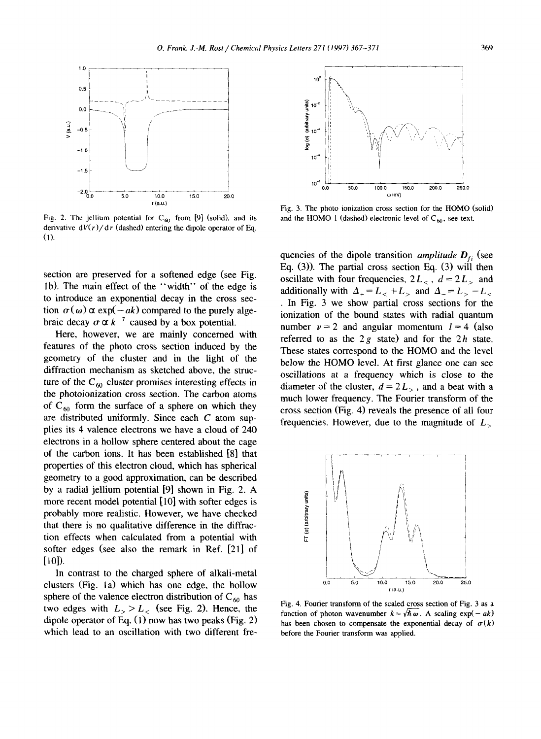

Fig. 2. The jellium potential for  $C_{60}$  from [9] (solid), and its derivative  $dV(r)/dr$  (dashed) entering the dipole operator of Eq. (1).

section are preserved for a softened edge (see Fig. Ib). The main effect of the "width" of the edge is to introduce an exponential decay in the cross section  $\sigma(\omega) \propto \exp(-ak)$  compared to the purely algebraic decay  $\sigma \propto k^{-7}$  caused by a box potential.

Here, however, we are mainly concerned with features of the photo cross section induced by the geometry of the cluster and in the light of the diffraction mechanism as sketched above, the structure of the  $C_{60}$  cluster promises interesting effects in the photoionization cross section. The carbon atoms of  $C_{60}$  form the surface of a sphere on which they are distributed uniformly. Since each  $C$  atom supplies its 4 valence electrons we have a cloud of 240 electrons in a hollow sphere centered about the cage of the carbon ions. It has been established [8] that properties of this electron cloud, which has spherical geometry to a good approximation, can be described by a radial jellium potential [9] shown in Fig. 2. A more recent model potential [10] with softer edges is probably more realistic. However, we have checked that there is no qualitative difference in the diffraction effects when calculated from a potential with softer edges (see also the remark in Ref. [21] of [101).

In contrast to the charged sphere of alkali-metal clusters (Fig. 1a) which has one edge, the hollow sphere of the valence electron distribution of  $C_{60}$  has two edges with  $L_> > L_<$  (see Fig. 2). Hence, the dipole operator of Eq. (1) now has two peaks (Fig. 2) which lead to an oscillation with two different fre-



Fig. 3. The photo ionization cross section for the HOMO (solid) and the HOMO-1 (dashed) electronic level of  $C_{60}$ , see text.

quencies of the dipole transition *amplitude*  $D_f$  (see Eq. (3)). The partial cross section Eq. (3) will then oscillate with four frequencies,  $2L_c$ ,  $d = 2L_c$  and additionally with  $\Delta_+ = L_{-} + L_{>}$  and  $\Delta_- = L_{-} - L_{<}$ • In Fig. 3 we show partial cross sections for the ionization of the bound states with radial quantum number  $\nu = 2$  and angular momentum  $l = 4$  (also referred to as the  $2g$  state) and for the  $2h$  state. These states correspond to the HOMO and the level below the HOMO level. At first glance one can see oscillations at a frequency which is close to the diameter of the cluster,  $d = 2L_{\gamma}$ , and a beat with a much lower frequency. The Fourier transform of the cross section (Fig. 4) reveals the presence of all four frequencies. However, due to the magnitude of  $L_{\sim}$ 



Fig. 4. Fourier transform of the scaled cross section of Fig. 3 as a function of photon wavenumber  $k = \sqrt{\hbar \omega}$ . A scaling exp(- *ak*) has been chosen to compensate the exponential decay of  $\sigma(k)$ before the Fourier transform was applied.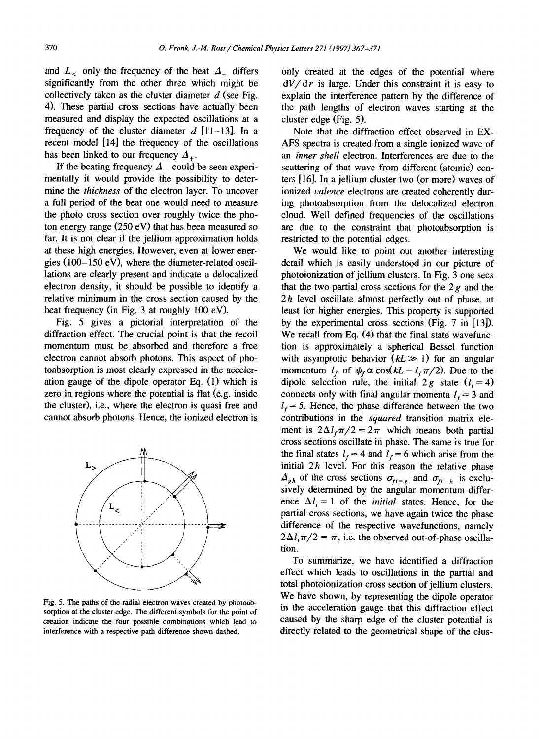and  $L_c$  only the frequency of the beat  $\Delta_c$  differs significantly from the other three which might be collectively taken as the cluster diameter  $d$  (see Fig. 4). These partial cross sections have actually been measured and display the expected oscillations at a frequency of the cluster diameter  $d$  [11-13]. In a recent model [14] the frequency of the oscillations has been linked to our frequency  $\Delta_{+}$ .

If the beating frequency  $\Delta_{-}$  could be seen experimentally it would provide the possibility to determine the *thickness* of the electron layer. To uncover a full period of the beat one would need to measure the photo cross section over roughly twice the photon energy range (250 eV) that has been measured so far. It is not clear if the jellium approximation holds at these high energies. However, even at lower energies (100-150 eV), where the diameter-related oscillations are clearly present and indicate a delocalized electron density, it should be possible to identify a relative minimum in the cross section caused by the beat frequency (in Fig. 3 at roughly 100 eV).

Fig. 5 gives a pictorial interpretation of the diffraction effect. The crucial point is that the recoil momentum must be absorbed and therefore a free electron cannot absorb photons. This aspect of photoabsorption is most clearly expressed in the acceleration gauge of the dipole operator Eq. (1) which is zero in regions where the potential is flat (e.g. inside the cluster), i.e., where the electron is quasi free and cannot absorb photons. Hence, the ionized electron is



Fig. 5. The paths of the radial electron waves created by photoabsorption at the cluster edge. The different symbols for the point of creation indicate the four possible combinations which lead to interference with a respective path difference shown dashed.

only created at the edges of the potential where *dV/dr* is large. Under this constraint it is easy to explain the interference pattern by the difference of the path lengths of electron waves starting at the cluster edge (Fig. 5).

Note that the diffraction effect observed in EX-AFS spectra is created, from a single ionized wave of an *inner shell* electron. Interferences are due to the scattering of that wave from different (atomic) centers [16]. In a jellium cluster two (or more) waves of ionized *valence* electrons are created coherently during photoabsorption from the delocalized electron cloud. Well defined frequencies of the oscillations are due to the constraint that photoabsorption is restricted to the potential edges.

We would like to point out another interesting detail which is easily understood in our picture of photoionization of jellium clusters. In Fig. 3 one sees that the two partial cross sections for the  $2g$  and the  $2h$  level oscillate almost perfectly out of phase, at least for higher energies. This property is supported by the experimental cross sections (Fig. 7 in [13]). We recall from Eq. (4) that the final state wavefunction is approximately a spherical Bessel function with asymptotic behavior  $(kL \gg 1)$  for an angular momentum  $l_f$  of  $\psi_f \propto \cos(kL - l_f \pi/2)$ . Due to the dipole selection rule, the initial 2g state  $(l_i=4)$ connects only with final angular momenta  $l_f = 3$  and  $I_f = 5$ . Hence, the phase difference between the two contributions in the *squared* transition matrix element is  $2\Delta l_f \pi/2 = 2\pi$  which means both partial cross sections oscillate in phase. The same is true for the final states  $l_f = 4$  and  $l_f = 6$  which arise from the initial  $2h$  level. For this reason the relative phase  $\Delta_{gh}$  of the cross sections  $\sigma_{fi=g}$  and  $\sigma_{fi=h}$  is exclusively determined by the angular momentum difference  $\Delta l_i = 1$  of the *initial* states. Hence, for the partial cross sections, we have again twice the phase difference of the respective wavefunctions, namely  $2\Delta l_{\rm r}\pi/2 = \pi$ , i.e. the observed out-of-phase oscillation.

To summarize, we have identified a diffraction effect which leads to oscillations in the partial and total photoionization cross section of jellium clusters. We have shown, by representing the dipole operator in the acceleration gauge that this diffraction effect caused by the sharp edge of the cluster potential is directly related to the geometrical shape of the clus